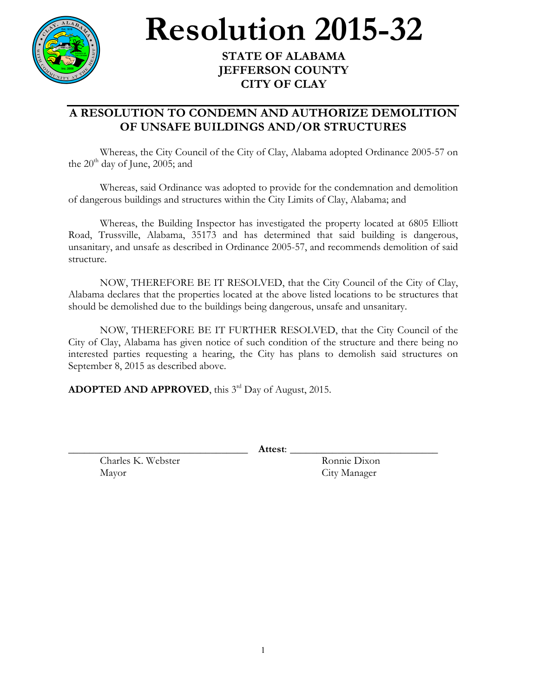

## **Resolution** 2015-32

## **JEFFERSON COUNTY CITY OF CLAY**

## **A RESOLUTION TO CONDEMN AND AUTHORIZE DEMOLITION OF UNSAFE BUILDINGS AND/OR STRUCTURES**

Whereas, the City Council of the City of Clay, Alabama adopted Ordinance 2005-57 on the  $20^{th}$  day of June, 2005; and

Whereas, said Ordinance was adopted to provide for the condemnation and demolition of dangerous buildings and structures within the City Limits of Clay, Alabama; and

Whereas, the Building Inspector has investigated the property located at 6805 Elliott Road, Trussville, Alabama, 35173 and has determined that said building is dangerous, unsanitary, and unsafe as described in Ordinance 2005-57, and recommends demolition of said structure.

NOW, THEREFORE BE IT RESOLVED, that the City Council of the City of Clay, Alabama declares that the properties located at the above listed locations to be structures that should be demolished due to the buildings being dangerous, unsafe and unsanitary.

NOW, THEREFORE BE IT FURTHER RESOLVED, that the City Council of the City of Clay, Alabama has given notice of such condition of the structure and there being no interested parties requesting a hearing, the City has plans to demolish said structures on September 8, 2015 as described above.

**ADOPTED AND APPROVED**, this 3<sup>rd</sup> Day of August, 2015.

Charles K. Webster Ronnie Dixon Mayor City Manager

\_\_\_\_\_\_\_\_\_\_\_\_\_\_\_\_\_\_\_\_\_\_\_\_\_\_\_\_\_\_\_\_\_\_ **Attest**: \_\_\_\_\_\_\_\_\_\_\_\_\_\_\_\_\_\_\_\_\_\_\_\_\_\_\_\_